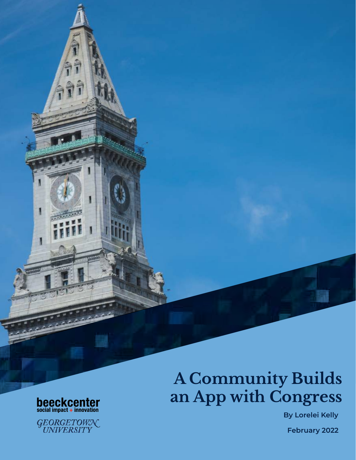# **A Community Builds an App with Congress**

 **By Lorelei Kelly**

 **February 2022**



N

GEORGETOWN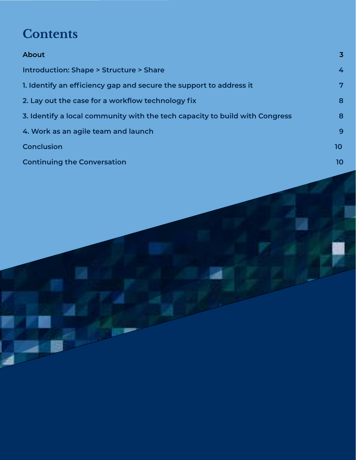# **Contents**

| <b>About</b>                                                                | $\overline{3}$ |
|-----------------------------------------------------------------------------|----------------|
| <b>Introduction: Shape &gt; Structure &gt; Share</b>                        | 4              |
| 1. Identify an efficiency gap and secure the support to address it          | 7              |
| 2. Lay out the case for a workflow technology fix                           | 8              |
| 3. Identify a local community with the tech capacity to build with Congress | 8              |
| 4. Work as an agile team and launch                                         | 9              |
| <b>Conclusion</b>                                                           | 10             |
| <b>Continuing the Conversation</b>                                          | 10             |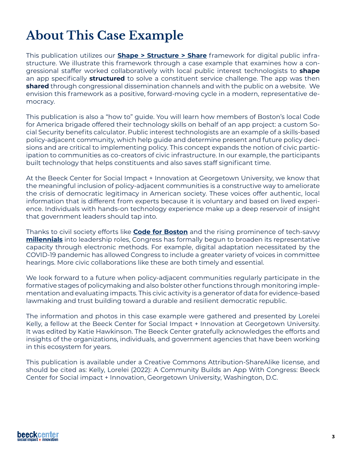# <span id="page-2-0"></span>**About This Case Example**

This publication utilizes our **[Shape > Structure > Share](https://beeckcenter.georgetown.edu/report/shape-structure-share-framework/)** framework for digital public infrastructure. We illustrate this framework through a case example that examines how a congressional staffer worked collaboratively with local public interest technologists to **shape** an app specifically **structured** to solve a constituent service challenge. The app was then **shared** through congressional dissemination channels and with the public on a website. We envision this framework as a positive, forward-moving cycle in a modern, representative democracy.

This publication is also a "how to" guide. You will learn how members of Boston's local Code for America brigade offered their technology skills on behalf of an app project: a custom Social Security benefits calculator. Public interest technologists are an example of a skills-based policy-adjacent community, which help guide and determine present and future policy decisions and are critical to implementing policy. This concept expands the notion of civic participation to communities as co-creators of civic infrastructure. In our example, the participants built technology that helps constituents and also saves staff significant time.

At the Beeck Center for Social Impact + Innovation at Georgetown University, we know that the meaningful inclusion of policy-adjacent communities is a constructive way to ameliorate the crisis of democratic legitimacy in American society. These voices offer authentic, local information that is different from experts because it is voluntary and based on lived experience. Individuals with hands-on technology experience make up a deep reservoir of insight that government leaders should tap into.

Thanks to civil society efforts like **[Code for Boston](https://www.codeforboston.org)** and the rising prominence of tech-savvy **[millennials](https://medium.com/millennial-voices/round-up-candidates-under-45-headed-to-the-117th-congress-55edcdc6c055)** into leadership roles, Congress has formally begun to broaden its representative capacity through electronic methods. For example, digital adaptation necessitated by the COVID-19 pandemic has allowed Congress to include a greater variety of voices in committee hearings. More civic collaborations like these are both timely and essential.

We look forward to a future when policy-adjacent communities regularly participate in the formative stages of policymaking and also bolster other functions through monitoring implementation and evaluating impacts. This civic activity is a generator of data for evidence-based lawmaking and trust building toward a durable and resilient democratic republic.

The information and photos in this case example were gathered and presented by Lorelei Kelly, a fellow at the Beeck Center for Social Impact + Innovation at Georgetown University. It was edited by Katie Hawkinson. The Beeck Center gratefully acknowledges the efforts and insights of the organizations, individuals, and government agencies that have been working in this ecosystem for years.

This publication is available under a Creative Commons Attribution-ShareAlike license, and should be cited as: Kelly, Lorelei (2022): A Community Builds an App With Congress: Beeck Center for Social impact + Innovation, Georgetown University, Washington, D.C.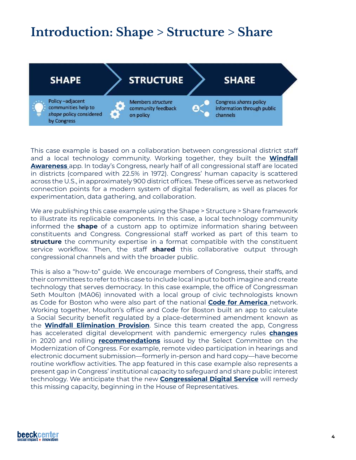## <span id="page-3-0"></span>**Introduction: Shape > Structure > Share**



This case example is based on a collaboration between congressional district staff and a local technology community. Working together, they built the **[Windfall](http://www.ssacalculator.org/) [Awareness](http://www.ssacalculator.org/)** app. In today's Congress, nearly half of all congressional staff are located in districts (compared with 22.5% in 1972). Congress' human capacity is scattered across the U.S., in approximately 900 district offices. These offices serve as networked connection points for a modern system of digital federalism, as well as places for experimentation, data gathering, and collaboration.

We are publishing this case example using the Shape > Structure > Share framework to illustrate its replicable components. In this case, a local technology community informed the **shape** of a custom app to optimize information sharing between constituents and Congress. Congressional staff worked as part of this team to **structure** the community expertise in a format compatible with the constituent service workflow. Then, the staff **shared** this collaborative output through congressional channels and with the broader public.

This is also a "how-to" guide. We encourage members of Congress, their staffs, and their committees to refer to this case to include local input to both imagine and create technology that serves democracy. In this case example, the office of Congressman Seth Moulton (MA06) innovated with a local group of civic technologists known as Code for Boston who were also part of the national **[Code for America](https://codeforamerica.org/)** network. Working together, Moulton's office and Code for Boston built an app to calculate a Social Security benefit regulated by a place-determined amendment known as the **[Windfall Elimination Provision](https://ssacalculator.org)**. Since this team created the app, Congress has accelerated digital development with pandemic emergency rules **[changes](https://beeckcenter.georgetown.edu/wp-content/uploads/2020/09/2020-CIVIC-VOICE-DURING-COVID_FINAL.pdf)** in 2020 and rolling **[recommendations](https://modernizecongress.house.gov/)** issued by the Select Committee on the Modernization of Congress. For example, remote video participation in hearings and electronic document submission—formerly in-person and hard copy—have become routine workflow activities. The app featured in this case example also represents a present gap in Congress' institutional capacity to safeguard and share public interest technology. We anticipate that the new **[Congressional Digital Service](https://fcw.com/digital-government/2022/01/hill-gets-serious-about-digital-services/360994/)** will remedy this missing capacity, beginning in the House of Representatives.

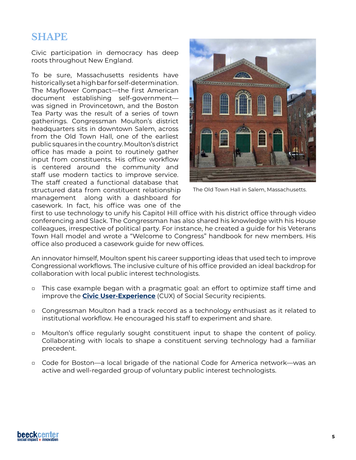## **SHAPE**

Civic participation in democracy has deep roots throughout New England.

To be sure, Massachusetts residents have historically set a high bar for self-determination. The Mayflower Compact—the first American document establishing self-government was signed in Provincetown, and the Boston Tea Party was the result of a series of town gatherings. Congressman Moulton's district headquarters sits in downtown Salem, across from the Old Town Hall, one of the earliest public squares in the country. Moulton's district office has made a point to routinely gather input from constituents. His office workflow is centered around the community and staff use modern tactics to improve service. The staff created a functional database that structured data from constituent relationship management along with a dashboard for casework. In fact, his office was one of the



The Old Town Hall in Salem, Massachusetts.

first to use technology to unify his Capitol Hill office with his district office through video conferencing and Slack. The Congressman has also shared his knowledge with his House colleagues, irrespective of political party. For instance, he created a guide for his Veterans Town Hall model and wrote a "Welcome to Congress" handbook for new members. His office also produced a casework guide for new offices.

An innovator himself, Moulton spent his career supporting ideas that used tech to improve Congressional workflows. The inclusive culture of his office provided an ideal backdrop for collaboration with local public interest technologists.

- □ This case example began with a pragmatic goal: an effort to optimize staff time and improve the **[Civic User-Experience](https://www.popvox.org/measuring-civic-experience)** (CUX) of Social Security recipients.
- □ Congressman Moulton had a track record as a technology enthusiast as it related to institutional workflow. He encouraged his staff to experiment and share.
- □ Moulton's office regularly sought constituent input to shape the content of policy. Collaborating with locals to shape a constituent serving technology had a familiar precedent.
- □ Code for Boston—a local brigade of the national Code for America network—was an active and well-regarded group of voluntary public interest technologists.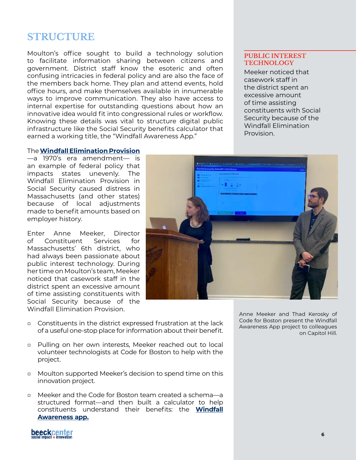## **STRUCTURE**

Moulton's office sought to build a technology solution to facilitate information sharing between citizens and government. District staff know the esoteric and often confusing intricacies in federal policy and are also the face of the members back home. They plan and attend events, hold office hours, and make themselves available in innumerable ways to improve communication. They also have access to internal expertise for outstanding questions about how an innovative idea would fit into congressional rules or workflow. Knowing these details was vital to structure digital public infrastructure like the Social Security benefits calculator that earned a working title, the "Windfall Awareness App."

#### **PUBLIC INTEREST TECHNOLOGY**

Meeker noticed that casework staff in the district spent an excessive amount of time assisting constituents with Social Security because of the Windfall Elimination Provision.

#### The **[Windfall Elimination Provision](http://www.massretirees.com/wepgpo-explained)**

—a 1970's era amendment— is an example of federal policy that impacts states unevenly. The Windfall Elimination Provision in Social Security caused distress in Massachusetts (and other states) because of local adjustments made to benefit amounts based on employer history.

Enter Anne Meeker, Director of Constituent Services for Massachusetts' 6th district, who had always been passionate about public interest technology. During her time on Moulton's team, Meeker noticed that casework staff in the district spent an excessive amount of time assisting constituents with Social Security because of the Windfall Elimination Provision.



- □ Constituents in the district expressed frustration at the lack of a useful one-stop place for information about their benefit.
- □ Pulling on her own interests, Meeker reached out to local volunteer technologists at Code for Boston to help with the project.
- □ Moulton supported Meeker's decision to spend time on this innovation project.
- □ Meeker and the Code for Boston team created a schema—a structured format—and then built a calculator to help constituents understand their benefits: the **[Windfall](https://ssacalculator.org/)  [Awareness app.](https://ssacalculator.org/)**

Anne Meeker and Thad Kerosky of Code for Boston present the Windfall Awareness App project to colleagues on Capitol Hill.

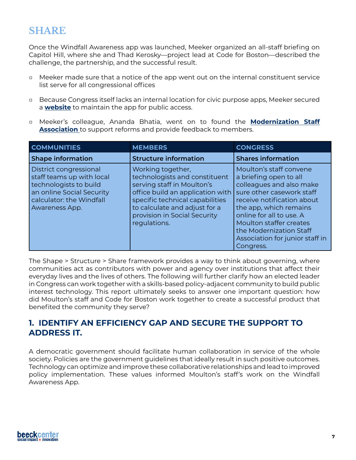## **SHARE**

Once the Windfall Awareness app was launched, Meeker organized an all-staff briefing on Capitol Hill, where she and Thad Kerosky—project lead at Code for Boston—described the challenge, the partnership, and the successful result.

- □ Meeker made sure that a notice of the app went out on the internal constituent service list serve for all congressional offices
- □ Because Congress itself lacks an internal location for civic purpose apps, Meeker secured a **[website](https://ssacalculator.org/)** to maintain the app for public access.
- □ Meeker's colleague, Ananda Bhatia, went on to found the **[Modernization Staff](https://firstbranchforecast.com/2020/02/27/staffers-form-bipartisan-association-aiming-to-modernize-congress/#content) [Association](https://firstbranchforecast.com/2020/02/27/staffers-form-bipartisan-association-aiming-to-modernize-congress/#content)** to support reforms and provide feedback to members.

| <b>COMMUNITIES</b>                                                                                                                                       | <b>MEMBERS</b>                                                                                                                                                                                                                           | <b>CONGRESS</b>                                                                                                                                                                                                                                                                                      |
|----------------------------------------------------------------------------------------------------------------------------------------------------------|------------------------------------------------------------------------------------------------------------------------------------------------------------------------------------------------------------------------------------------|------------------------------------------------------------------------------------------------------------------------------------------------------------------------------------------------------------------------------------------------------------------------------------------------------|
| <b>Shape information</b>                                                                                                                                 | <b>Structure information</b>                                                                                                                                                                                                             | <b>Shares information</b>                                                                                                                                                                                                                                                                            |
| District congressional<br>staff teams up with local<br>technologists to build<br>an online Social Security<br>calculator: the Windfall<br>Awareness App. | Working together,<br>technologists and constituent<br>serving staff in Moulton's<br>office build an application with<br>specific technical capabilities<br>to calculate and adjust for a<br>provision in Social Security<br>regulations. | Moulton's staff convene<br>a briefing open to all<br>colleagues and also make<br>sure other casework staff<br>receive notification about<br>the app, which remains<br>online for all to use. A<br>Moulton staffer creates<br>the Modernization Staff<br>Association for junior staff in<br>Congress. |

The Shape > Structure > Share framework provides a way to think about governing, where communities act as contributors with power and agency over institutions that affect their everyday lives and the lives of others. The following will further clarify how an elected leader in Congress can work together with a skills-based policy-adjacent community to build public interest technology. This report ultimately seeks to answer one important question: how did Moulton's staff and Code for Boston work together to create a successful product that benefited the community they serve?

#### **1. IDENTIFY AN EFFICIENCY GAP AND SECURE THE SUPPORT TO ADDRESS IT.**

A democratic government should facilitate human collaboration in service of the whole society. Policies are the government guidelines that ideally result in such positive outcomes. Technology can optimize and improve these collaborative relationships and lead to improved policy implementation. These values informed Moulton's staff's work on the Windfall Awareness App.

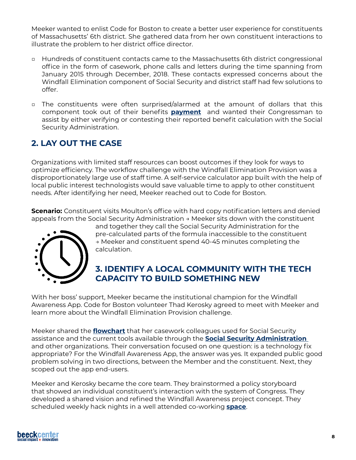<span id="page-7-0"></span>Meeker wanted to enlist Code for Boston to create a better user experience for constituents of Massachusetts' 6th district. She gathered data from her own constituent interactions to illustrate the problem to her district office director.

- □ Hundreds of constituent contacts came to the Massachusetts 6th district congressional office in the form of casework, phone calls and letters during the time spanning from January 2015 through December, 2018. These contacts expressed concerns about the Windfall Elimination component of Social Security and district staff had few solutions to offer.
- □ The constituents were often surprised/alarmed at the amount of dollars that this component took out of their benefits **[payment](https://www.publicretirees.org/)** and wanted their Congressman to assist by either verifying or contesting their reported benefit calculation with the Social Security Administration.

## **2. LAY OUT THE CASE**

Organizations with limited staff resources can boost outcomes if they look for ways to optimize efficiency. The workflow challenge with the Windfall Elimination Provision was a disproportionately large use of staff time. A self-service calculator app built with the help of local public interest technologists would save valuable time to apply to other constituent needs. After identifying her need, Meeker reached out to Code for Boston.

**Scenario:** Constituent visits Moulton's office with hard copy notification letters and denied appeals from the Social Security Administration → Meeker sits down with the constituent



and together they call the Social Security Administration for the pre-calculated parts of the formula inaccessible to the constituent → Meeker and constituent spend 40-45 minutes completing the calculation.

### **3. IDENTIFY A LOCAL COMMUNITY WITH THE TECH CAPACITY TO BUILD SOMETHING NEW**

With her boss' support, Meeker became the institutional champion for the Windfall Awareness App. Code for Boston volunteer Thad Kerosky agreed to meet with Meeker and learn more about the Windfall Elimination Provision challenge.

Meeker shared the **[flowchart](https://drive.google.com/file/d/1-0EVkOIDcTjRPECE-SxbWwMpLh_cxaPS/view)** that her casework colleagues used for Social Security assistance and the current tools available through the **[Social Security Administration](https://www.ssa.gov/)**  and other organizations. Their conversation focused on one question: is a technology fix appropriate? For the Windfall Awareness App, the answer was yes. It expanded public good problem solving in two directions, between the Member and the constituent. Next, they [scoped out the app](https://docs.google.com/document/d/1iwR5xeNK-JfQH4Bv2otgkmNXuz_Wgxz_3uJo-afb0kQ/edit) end-users.

Meeker and Kerosky became the core team. They brainstormed a policy storyboard that showed an individual constituent's interaction with the system of Congress. They developed a shared vision and refined the Windfall Awareness project concept. They scheduled weekly hack nights in a well attended co-working **[space](https://cic.com/about-us)**.

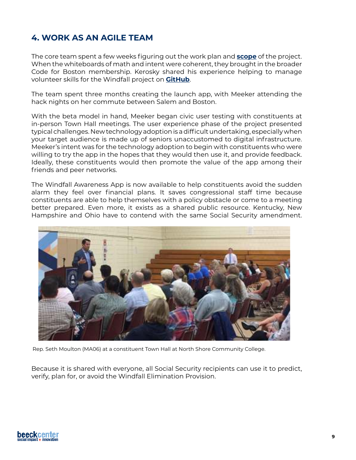### <span id="page-8-0"></span>**4. WORK AS AN AGILE TEAM**

The core team spent a few weeks figuring out the work plan and **[scope](https://docs.google.com/document/d/1iwR5xeNK-JfQH4Bv2otgkmNXuz_Wgxz_3uJo-afb0kQ/edit)** of the project. When the whiteboards of math and intent were coherent, they brought in the broader Code for Boston membership. Kerosky shared his experience helping to manage volunteer skills for the Windfall project on **[GitHub](https://github.com/plocket/cfb-hacking-project-management/issues/7#issuecomment-578384465)**.

The team spent three months creating the launch app, with Meeker attending the hack nights on her commute between Salem and Boston.

With the beta model in hand, Meeker began civic user testing with constituents at in-person Town Hall meetings. The user experience phase of the project presented typical challenges. New technology adoption is a difficult undertaking, especially when your target audience is made up of seniors unaccustomed to digital infrastructure. Meeker's intent was for the technology adoption to begin with constituents who were willing to try the app in the hopes that they would then use it, and provide feedback. Ideally, these constituents would then promote the value of the app among their friends and peer networks.

The Windfall Awareness App is now available to help constituents avoid the sudden alarm they feel over financial plans. It saves congressional staff time because constituents are able to help themselves with a policy obstacle or come to a meeting better prepared. Even more, it exists as a shared public resource. Kentucky, New Hampshire and Ohio have to contend with the same Social Security amendment.



Rep. Seth Moulton (MA06) at a constituent Town Hall at North Shore Community College.

Because it is shared with everyone, all Social Security recipients can use it to predict, verify, plan for, or avoid the Windfall Elimination Provision.

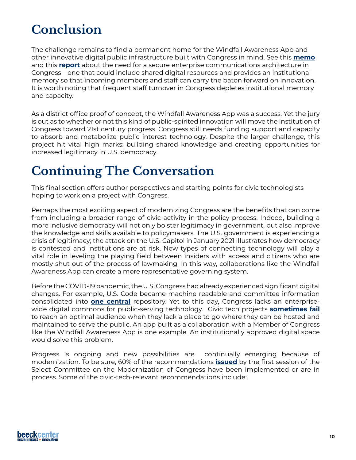# <span id="page-9-0"></span>**Conclusion**

The challenge remains to find a permanent home for the Windfall Awareness App and other innovative digital public infrastructure built with Congress in mind. See this **[memo](https://docs.google.com/document/d/16DGQNmGLkk3r8lKOv9EsCHKljXy41bczumPuG4w6Xuc/edit)** and this **[report](https://lincolnpolicy.org/wp-content/uploads/2021/10/Using-Technology-to-Improve-Constituents-Interactions-with-Congress-2.pdf)** about the need for a secure enterprise communications architecture in Congress—one that could include shared digital resources and provides an institutional memory so that incoming members and staff can carry the baton forward on innovation. It is worth noting that frequent staff turnover in Congress depletes institutional memory and capacity.

As a district office proof of concept, the Windfall Awareness App was a success. Yet the jury is out as to whether or not this kind of public-spirited innovation will move the institution of Congress toward 21st century progress. Congress still needs funding support and capacity to absorb and metabolize public interest technology. Despite the larger challenge, this project hit vital high marks: building shared knowledge and creating opportunities for increased legitimacy in U.S. democracy.

## **Continuing The Conversation**

This final section offers author perspectives and starting points for civic technologists hoping to work on a project with Congress.

Perhaps the most exciting aspect of modernizing Congress are the benefits that can come from including a broader range of civic activity in the policy process. Indeed, building a more inclusive democracy will not only bolster legitimacy in government, but also improve the knowledge and skills available to policymakers. The U.S. government is experiencing a crisis of legitimacy; the attack on the U.S. Capitol in January 2021 illustrates how democracy is contested and institutions are at risk. New types of connecting technology will play a vital role in leveling the playing field between insiders with access and citizens who are mostly shut out of the process of lawmaking. In this way, collaborations like the Windfall Awareness App can create a more representative governing system.

Before the COVID-19 pandemic, the U.S. Congress had already experienced significant digital changes. For example, U.S. Code became machine readable and committee information consolidated into **[one central](https://docs.house.gov/)** repository. Yet to this day, Congress lacks an enterprisewide digital commons for public-serving technology. Civic tech projects **[sometimes fail](https://civictech.guide/graveyard/)**  to reach an optimal audience when they lack a place to go where they can be hosted and maintained to serve the public. An app built as a collaboration with a Member of Congress like the Windfall Awareness App is one example. An institutionally approved digital space would solve this problem.

Progress is ongoing and new possibilities are continually emerging because of modernization. To be sure, 60% of the recommendations **[issued](https://modernizecongress.house.gov/implementation)** by the first session of the Select Committee on the Modernization of Congress have been implemented or are in process. Some of the civic-tech-relevant recommendations include: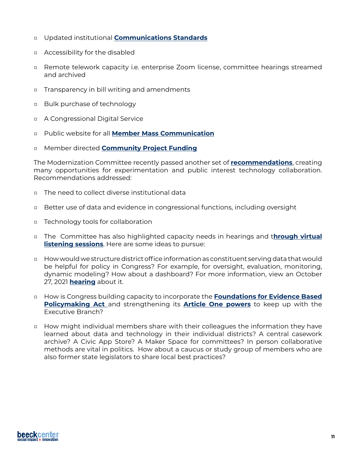- □ Updated institutional **[Communications Standards](https://cha.house.gov/sites/democrats.cha.house.gov/files/documents/Communications%20Standards%20Manual_12-19-2019%20ONLINE.pdf)**
- □ Accessibility for the disabled
- □ Remote telework capacity i.e. enterprise Zoom license, committee hearings streamed and archived
- □ Transparency in bill writing and amendments
- □ Bulk purchase of technology
- □ A Congressional Digital Service
- □ Public website for all **[Member Mass Communication](https://masscommsdisclosure.house.gov/)**
- □ Member directed **[Community Project Funding](https://appropriations.house.gov/transparency)**

The Modernization Committee recently passed another set of **[recommendations](https://modernizecongress.house.gov/117th-recommendations)**, creating many opportunities for experimentation and public interest technology collaboration. Recommendations addressed:

- □ The need to collect diverse institutional data
- □ Better use of data and evidence in congressional functions, including oversight
- □ Technology tools for collaboration
- □ The Committee has also highlighted capacity needs in hearings and t**[hrough virtual](https://modernizecongress.house.gov/committee-activity/virtual-discussions) [listening sessions](https://modernizecongress.house.gov/committee-activity/virtual-discussions)**. Here are some ideas to pursue:
- □ How would we structure district office information as constituent serving data that would be helpful for policy in Congress? For example, for oversight, evaluation, monitoring, dynamic modeling? How about a dashboard? For more information, view an October 27, 2021 **[hearing](https://modernizecongress.house.gov/committee-activity/hearings/10/28/2021/strengthening-the-lawmaking-process-how-data-can-inform-and-improve-policy)** about it.
- □ How is Congress building capacity to incorporate the **[Foundations for Evidence Based](https://www.congress.gov/bill/115th-congress/house-bill/4174) [Policymaking Act](https://www.congress.gov/bill/115th-congress/house-bill/4174)** and strengthening its **[Article One powers](https://constitutioncenter.org/interactive-constitution/article/article-i)** to keep up with the Executive Branch?
- □ How might individual members share with their colleagues the information they have learned about data and technology in their individual districts? A central casework archive? A Civic App Store? A Maker Space for committees? In person collaborative methods are vital in politics. How about a caucus or study group of members who are also former state legislators to share local best practices?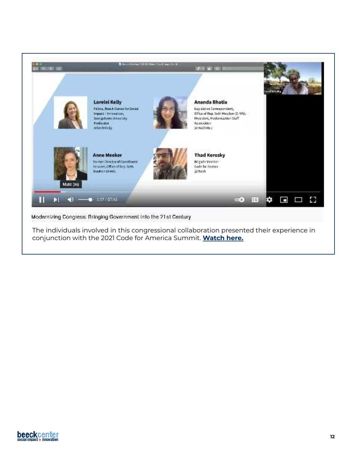